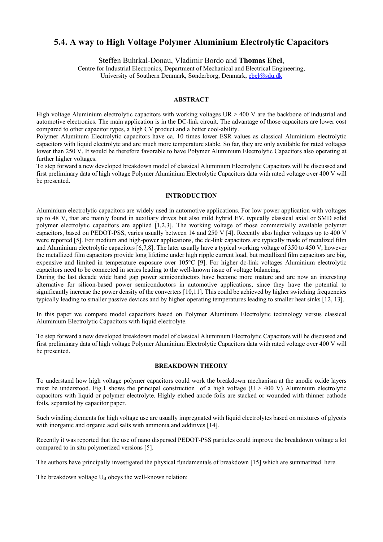# **5.4. A way to High Voltage Polymer Aluminium Electrolytic Capacitors**

Steffen Buhrkal-Donau, Vladimir Bordo and **Thomas Ebel**,

Centre for Industrial Electronics, Department of Mechanical and Electrical Engineering, University of Southern Denmark, Sønderborg, Denmark, [ebel@sdu.dk](mailto:ebel@sdu.dk)

### **ABSTRACT**

High voltage Aluminium electrolytic capacitors with working voltages UR > 400 V are the backbone of industrial and automotive electronics. The main application is in the DC-link circuit. The advantage of those capacitors are lower cost compared to other capacitor types, a high CV product and a better cool-ability.

Polymer Aluminum Electrolytic capacitors have ca. 10 times lower ESR values as classical Aluminium electrolytic capacitors with liquid electrolyte and are much more temperature stable. So far, they are only available for rated voltages lower than 250 V. It would be therefore favorable to have Polymer Aluminium Electrolytic Capacitors also operating at further higher voltages.

To step forward a new developed breakdown model of classical Aluminium Electrolytic Capacitors will be discussed and first preliminary data of high voltage Polymer Aluminium Electrolytic Capacitors data with rated voltage over 400 V will be presented.

## **INTRODUCTION**

Aluminium electrolytic capacitors are widely used in automotive applications. For low power application with voltages up to 48 V, that are mainly found in auxiliary drives but also mild hybrid EV, typically classical axial or SMD solid polymer electrolytic capacitors are applied [1,2,3]. The working voltage of those commercially available polymer capacitors, based on PEDOT-PSS, varies usually between 14 and 250 V [4]. Recently also higher voltages up to 400 V were reported [5]. For medium and high-power applications, the dc-link capacitors are typically made of metalized film and Aluminium electrolytic capacitors [6,7,8]. The later usually have a typical working voltage of 350 to 450 V, however the metallized film capacitors provide long lifetime under high ripple current load, but metallized film capacitors are big, expensive and limited in temperature exposure over 105°C [9]. For higher dc-link voltages Aluminium electrolytic capacitors need to be connected in series leading to the well-known issue of voltage balancing.

During the last decade wide band gap power semiconductors have become more mature and are now an interesting alternative for silicon-based power semiconductors in automotive applications, since they have the potential to significantly increase the power density of the converters [10,11]. This could be achieved by higher switching frequencies typically leading to smaller passive devices and by higher operating temperatures leading to smaller heat sinks [12, 13].

In this paper we compare model capacitors based on Polymer Aluminum Electrolytic technology versus classical Aluminium Electrolytic Capacitors with liquid electrolyte.

To step forward a new developed breakdown model of classical Aluminium Electrolytic Capacitors will be discussed and first preliminary data of high voltage Polymer Aluminium Electrolytic Capacitors data with rated voltage over 400 V will be presented.

#### **BREAKDOWN THEORY**

To understand how high voltage polymer capacitors could work the breakdown mechanism at the anodic oxide layers must be understood. Fig.1 shows the principal construction of a high voltage ( $U > 400$  V) Aluminium electrolytic capacitors with liquid or polymer electrolyte. Highly etched anode foils are stacked or wounded with thinner cathode foils, separated by capacitor paper.

Such winding elements for high voltage use are usually impregnated with liquid electrolytes based on mixtures of glycols with inorganic and organic acid salts with ammonia and additives [14].

Recently it was reported that the use of nano dispersed PEDOT-PSS particles could improve the breakdown voltage a lot compared to in situ polymerized versions [5].

The authors have principally investigated the physical fundamentals of breakdown [15] which are summarized here.

The breakdown voltage  $U_B$  obeys the well-known relation: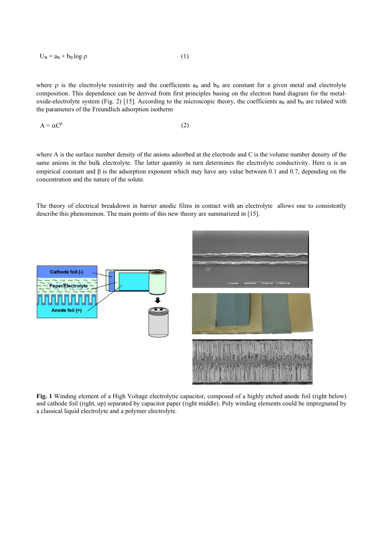$$
U_B = a_B + b_B \log \rho \tag{1}
$$

where  $\rho$  is the electrolyte resistivity and the coefficients a<sub>B</sub> and  $b_B$  are constant for a given metal and electrolyte composition. This dependence can be derived from first principles basing on the electron band diagram for the metaloxide-electrolyte system (Fig. 2) [15]. According to the microscopic theory, the coefficients  $a_B$  and  $b_B$  are related with the parameters of the Freundlich adsorption isotherm

$$
A = \alpha C^{\beta} \tag{2}
$$

where A is the surface number density of the anions adsorbed at the electrode and C is the volume number density of the same anions in the bulk electrolyte. The latter quantity in turn determines the electrolyte conductivity. Here  $\alpha$  is an empirical constant and β is the adsorption exponent which may have any value between 0.1 and 0.7, depending on the concentration and the nature of the solute.

The theory of electrical breakdown in barrier anodic films in contact with an electrolyte allows one to consistently describe this phenomenon. The main points of this new theory are summarized in [15].



**Fig. 1** Winding element of a High Voltage electrolytic capacitor, composed of a highly etched anode foil (right below) and cathode foil (right, up) separated by capacitor paper (right middle). Poly winding elements could be impregnated by a classical liquid electrolyte and a polymer electrolyte.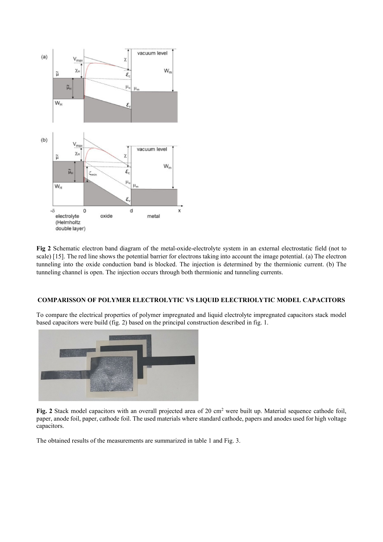

**Fig 2** Schematic electron band diagram of the metal-oxide-electrolyte system in an external electrostatic field (not to scale) [15]. The red line shows the potential barrier for electrons taking into account the image potential. (a) The electron tunneling into the oxide conduction band is blocked. The injection is determined by the thermionic current. (b) The tunneling channel is open. The injection occurs through both thermionic and tunneling currents.

# **COMPARISSON OF POLYMER ELECTROLYTIC VS LIQUID ELECTRIOLYTIC MODEL CAPACITORS**

To compare the electrical properties of polymer impregnated and liquid electrolyte impregnated capacitors stack model based capacitors were build (fig. 2) based on the principal construction described in fig. 1.



Fig. 2 Stack model capacitors with an overall projected area of 20 cm<sup>2</sup> were built up. Material sequence cathode foil, paper, anode foil, paper, cathode foil. The used materials where standard cathode, papers and anodes used for high voltage capacitors.

The obtained results of the measurements are summarized in table 1 and Fig. 3.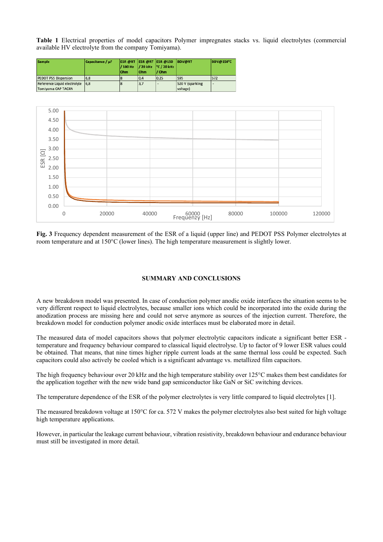**Table 1** Electrical properties of model capacitors Polymer impregnates stacks vs. liquid electrolytes (commercial available HV electrolyte from the company Tomiyama).



**Fig. 3** Frequency dependent measurement of the ESR of a liquid (upper line) and PEDOT PSS Polymer electrolytes at room temperature and at 150°C (lower lines). The high temperature measurement is slightly lower.

# **SUMMARY AND CONCLUSIONS**

A new breakdown model was presented. In case of conduction polymer anodic oxide interfaces the situation seems to be very different respect to liquid electrolytes, because smaller ions which could be incorporated into the oxide during the anodization process are missing here and could not serve anymore as sources of the injection current. Therefore, the breakdown model for conduction polymer anodic oxide interfaces must be elaborated more in detail.

The measured data of model capacitors shows that polymer electrolytic capacitors indicate a significant better ESR temperature and frequency behaviour compared to classical liquid electrolyse. Up to factor of 9 lower ESR values could be obtained. That means, that nine times higher ripple current loads at the same thermal loss could be expected. Such capacitors could also actively be cooled which is a significant advantage vs. metallized film capacitors.

The high frequency behaviour over 20 kHz and the high temperature stability over 125°C makes them best candidates for the application together with the new wide band gap semiconductor like GaN or SiC switching devices.

The temperature dependence of the ESR of the polymer electrolytes is very little compared to liquid electrolytes [1].

The measured breakdown voltage at 150°C for ca. 572 V makes the polymer electrolytes also best suited for high voltage high temperature applications.

However, in particular the leakage current behaviour, vibration resistivity, breakdown behaviour and endurance behaviour must still be investigated in more detail.